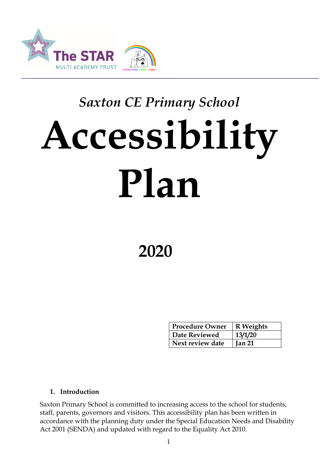

# *Saxton CE Primary School* **Accessibility Plan**

## **2020**

| <b>Procedure Owner</b> | R Weights     |
|------------------------|---------------|
| Date Reviewed          | 13/1/20       |
| Next review date       | <b>Jan 21</b> |

#### **1. Introduction**

Saxton Primary School is committed to increasing access to the school for students, staff, parents, governors and visitors. This accessibility plan has been written in accordance with the planning duty under the Special Education Needs and Disability Act 2001 (SENDA) and updated with regard to the Equality Act 2010.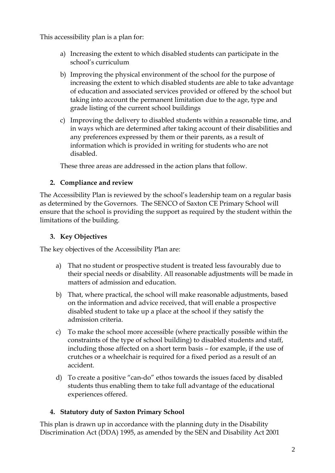This accessibility plan is a plan for:

- a) Increasing the extent to which disabled students can participate in the school's curriculum
- b) Improving the physical environment of the school for the purpose of increasing the extent to which disabled students are able to take advantage of education and associated services provided or offered by the school but taking into account the permanent limitation due to the age, type and grade listing of the current school buildings
- c) Improving the delivery to disabled students within a reasonable time, and in ways which are determined after taking account of their disabilities and any preferences expressed by them or their parents, as a result of information which is provided in writing for students who are not disabled.

These three areas are addressed in the action plans that follow.

#### **2. Compliance and review**

The Accessibility Plan is reviewed by the school's leadership team on a regular basis as determined by the Governors. The SENCO of Saxton CE Primary School will ensure that the school is providing the support as required by the student within the limitations of the building.

#### **3. Key Objectives**

The key objectives of the Accessibility Plan are:

- a) That no student or prospective student is treated less favourably due to their special needs or disability. All reasonable adjustments will be made in matters of admission and education.
- b) That, where practical, the school will make reasonable adjustments, based on the information and advice received, that will enable a prospective disabled student to take up a place at the school if they satisfy the admission criteria.
- c) To make the school more accessible (where practically possible within the constraints of the type of school building) to disabled students and staff, including those affected on a short term basis – for example, if the use of crutches or a wheelchair is required for a fixed period as a result of an accident.
- d) To create a positive "can-do" ethos towards the issues faced by disabled students thus enabling them to take full advantage of the educational experiences offered.

#### **4. Statutory duty of Saxton Primary School**

This plan is drawn up in accordance with the planning duty in the Disability Discrimination Act (DDA) 1995, as amended by the SEN and Disability Act 2001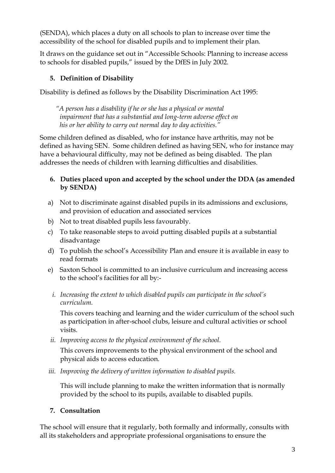(SENDA), which places a duty on all schools to plan to increase over time the accessibility of the school for disabled pupils and to implement their plan.

It draws on the guidance set out in "Accessible Schools: Planning to increase access to schools for disabled pupils," issued by the DfES in July 2002.

#### **5. Definition of Disability**

Disability is defined as follows by the Disability Discrimination Act 1995:

*"A person has a disability if he or she has a physical or mental impairment that has a substantial and long-term adverse effect on his or her ability to carry out normal day to day activities."*

Some children defined as disabled, who for instance have arthritis, may not be defined as having SEN. Some children defined as having SEN, who for instance may have a behavioural difficulty, may not be defined as being disabled. The plan addresses the needs of children with learning difficulties and disabilities.

#### **6. Duties placed upon and accepted by the school under the DDA (as amended by SENDA)**

- a) Not to discriminate against disabled pupils in its admissions and exclusions, and provision of education and associated services
- b) Not to treat disabled pupils less favourably.
- c) To take reasonable steps to avoid putting disabled pupils at a substantial disadvantage
- d) To publish the school's Accessibility Plan and ensure it is available in easy to read formats
- e) Saxton School is committed to an inclusive curriculum and increasing access to the school's facilities for all by:
	- *i. Increasing the extent to which disabled pupils can participate in the school's curriculum.*

This covers teaching and learning and the wider curriculum of the school such as participation in after-school clubs, leisure and cultural activities or school visits.

*ii. Improving access to the physical environment of the school.* 

This covers improvements to the physical environment of the school and physical aids to access education.

*iii. Improving the delivery of written information to disabled pupils.* 

This will include planning to make the written information that is normally provided by the school to its pupils, available to disabled pupils.

#### **7. Consultation**

The school will ensure that it regularly, both formally and informally, consults with all its stakeholders and appropriate professional organisations to ensure the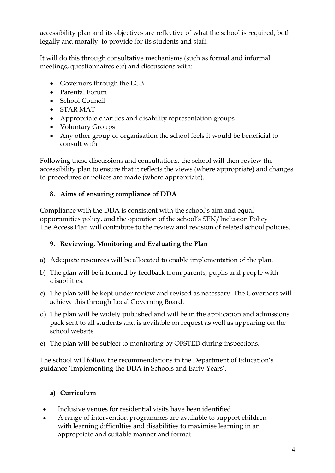accessibility plan and its objectives are reflective of what the school is required, both legally and morally, to provide for its students and staff.

It will do this through consultative mechanisms (such as formal and informal meetings, questionnaires etc) and discussions with:

- Governors through the LGB
- Parental Forum
- School Council
- STAR MAT
- Appropriate charities and disability representation groups
- Voluntary Groups
- Any other group or organisation the school feels it would be beneficial to consult with

Following these discussions and consultations, the school will then review the accessibility plan to ensure that it reflects the views (where appropriate) and changes to procedures or polices are made (where appropriate).

#### **8. Aims of ensuring compliance of DDA**

Compliance with the DDA is consistent with the school's aim and equal opportunities policy, and the operation of the school's SEN/Inclusion Policy The Access Plan will contribute to the review and revision of related school policies.

#### **9. Reviewing, Monitoring and Evaluating the Plan**

- a) Adequate resources will be allocated to enable implementation of the plan.
- b) The plan will be informed by feedback from parents, pupils and people with disabilities.
- c) The plan will be kept under review and revised as necessary. The Governors will achieve this through Local Governing Board.
- d) The plan will be widely published and will be in the application and admissions pack sent to all students and is available on request as well as appearing on the school website
- e) The plan will be subject to monitoring by OFSTED during inspections.

The school will follow the recommendations in the Department of Education's guidance 'Implementing the DDA in Schools and Early Years'.

#### **a) Curriculum**

- Inclusive venues for residential visits have been identified.
- A range of intervention programmes are available to support children with learning difficulties and disabilities to maximise learning in an appropriate and suitable manner and format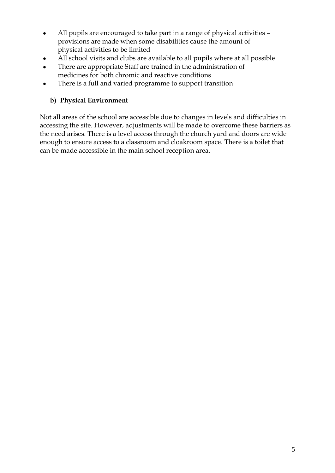- All pupils are encouraged to take part in a range of physical activities provisions are made when some disabilities cause the amount of physical activities to be limited
- All school visits and clubs are available to all pupils where at all possible
- There are appropriate Staff are trained in the administration of medicines for both chromic and reactive conditions
- There is a full and varied programme to support transition

#### **b) Physical Environment**

Not all areas of the school are accessible due to changes in levels and difficulties in accessing the site. However, adjustments will be made to overcome these barriers as the need arises. There is a level access through the church yard and doors are wide enough to ensure access to a classroom and cloakroom space. There is a toilet that can be made accessible in the main school reception area.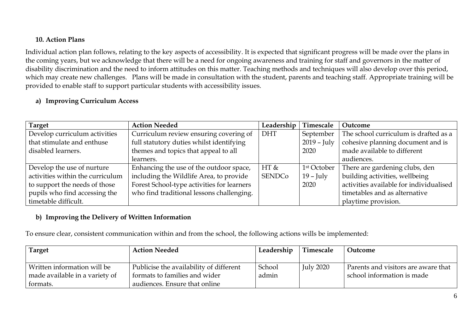#### **10. Action Plans**

Individual action plan follows, relating to the key aspects of accessibility. It is expected that significant progress will be made over the plans in the coming years, but we acknowledge that there will be a need for ongoing awareness and training for staff and governors in the matter of disability discrimination and the need to inform attitudes on this matter. Teaching methods and techniques will also develop over this period, which may create new challenges. Plans will be made in consultation with the student, parents and teaching staff. Appropriate training will be provided to enable staff to support particular students with accessibility issues.

#### **a) Improving Curriculum Access**

| <b>Target</b>                    | <b>Action Needed</b>                       | Leadership    | Timescale               | Outcome                                 |
|----------------------------------|--------------------------------------------|---------------|-------------------------|-----------------------------------------|
| Develop curriculum activities    | Curriculum review ensuring covering of     | <b>DHT</b>    | September               | The school curriculum is drafted as a   |
| that stimulate and enthuse       | full statutory duties whilst identifying   |               | $2019 - \text{July}$    | cohesive planning document and is       |
| disabled learners.               | themes and topics that appeal to all       |               | 2020                    | made available to different             |
|                                  | learners.                                  |               |                         | audiences.                              |
| Develop the use of nurture       | Enhancing the use of the outdoor space,    | HT &          | 1 <sup>st</sup> October | There are gardening clubs, den          |
| activities within the curriculum | including the Wildlife Area, to provide    | <b>SENDCo</b> | $19$ – July             | building activities, wellbeing          |
| to support the needs of those    | Forest School-type activities for learners |               | 2020                    | activities available for individualised |
| pupils who find accessing the    | who find traditional lessons challenging.  |               |                         | timetables and as alternative           |
| timetable difficult.             |                                            |               |                         | playtime provision.                     |

#### **b) Improving the Delivery of Written Information**

To ensure clear, consistent communication within and from the school, the following actions wills be implemented:

| Target                         | <b>Action Needed</b>                    | Leadership | Timescale | Outcome                             |
|--------------------------------|-----------------------------------------|------------|-----------|-------------------------------------|
|                                |                                         |            |           |                                     |
| Written information will be    | Publicise the availability of different | School     | July 2020 | Parents and visitors are aware that |
| made available in a variety of | formats to families and wider           | admin      |           | school information is made          |
| formats.                       | audiences. Ensure that online           |            |           |                                     |